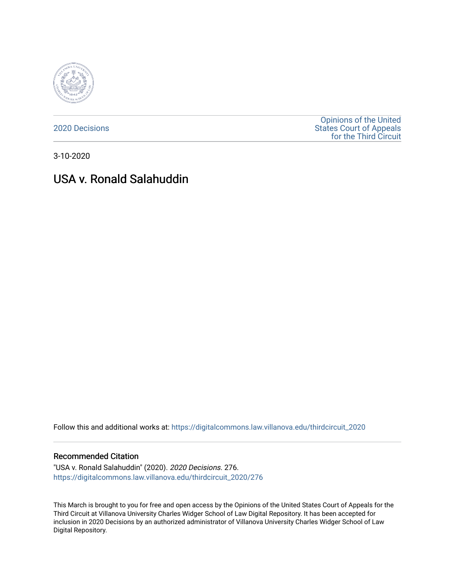

[2020 Decisions](https://digitalcommons.law.villanova.edu/thirdcircuit_2020)

[Opinions of the United](https://digitalcommons.law.villanova.edu/thirdcircuit)  [States Court of Appeals](https://digitalcommons.law.villanova.edu/thirdcircuit)  [for the Third Circuit](https://digitalcommons.law.villanova.edu/thirdcircuit) 

3-10-2020

# USA v. Ronald Salahuddin

Follow this and additional works at: [https://digitalcommons.law.villanova.edu/thirdcircuit\\_2020](https://digitalcommons.law.villanova.edu/thirdcircuit_2020?utm_source=digitalcommons.law.villanova.edu%2Fthirdcircuit_2020%2F276&utm_medium=PDF&utm_campaign=PDFCoverPages) 

#### Recommended Citation

"USA v. Ronald Salahuddin" (2020). 2020 Decisions. 276. [https://digitalcommons.law.villanova.edu/thirdcircuit\\_2020/276](https://digitalcommons.law.villanova.edu/thirdcircuit_2020/276?utm_source=digitalcommons.law.villanova.edu%2Fthirdcircuit_2020%2F276&utm_medium=PDF&utm_campaign=PDFCoverPages)

This March is brought to you for free and open access by the Opinions of the United States Court of Appeals for the Third Circuit at Villanova University Charles Widger School of Law Digital Repository. It has been accepted for inclusion in 2020 Decisions by an authorized administrator of Villanova University Charles Widger School of Law Digital Repository.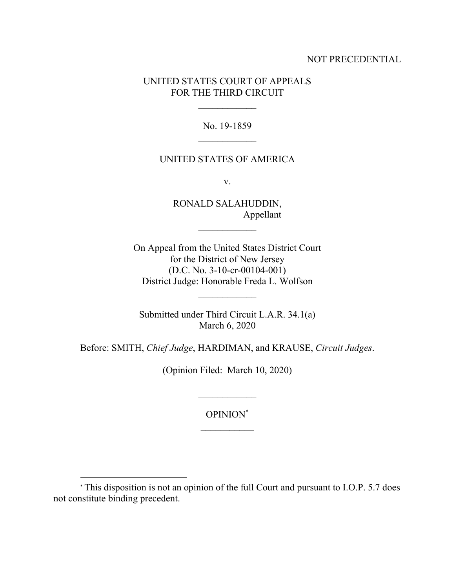## NOT PRECEDENTIAL

## UNITED STATES COURT OF APPEALS FOR THE THIRD CIRCUIT

No. 19-1859

### UNITED STATES OF AMERICA

v.

RONALD SALAHUDDIN, Appellant

 $\frac{1}{2}$ 

On Appeal from the United States District Court for the District of New Jersey (D.C. No. 3-10-cr-00104-001) District Judge: Honorable Freda L. Wolfson

Submitted under Third Circuit L.A.R. 34.1(a) March 6, 2020

Before: SMITH, *Chief Judge*, HARDIMAN, and KRAUSE, *Circuit Judges*.

(Opinion Filed: March 10, 2020)

OPINION\*

 $\frac{1}{2}$ 

<sup>\*</sup> This disposition is not an opinion of the full Court and pursuant to I.O.P. 5.7 does not constitute binding precedent.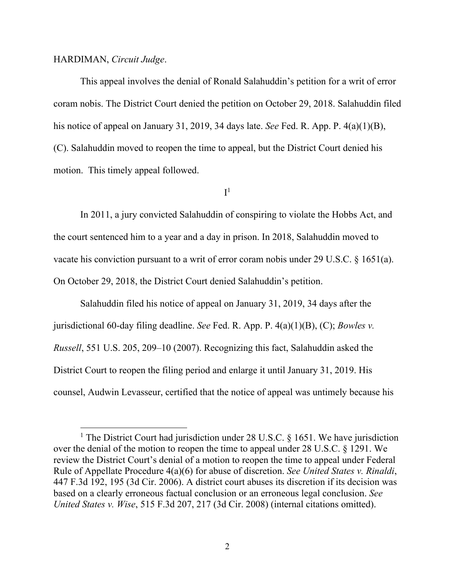#### HARDIMAN, *Circuit Judge*.

This appeal involves the denial of Ronald Salahuddin's petition for a writ of error coram nobis. The District Court denied the petition on October 29, 2018. Salahuddin filed his notice of appeal on January 31, 2019, 34 days late. *See* Fed. R. App. P. 4(a)(1)(B), (C). Salahuddin moved to reopen the time to appeal, but the District Court denied his motion. This timely appeal followed.

 $\mathrm{I}^1$ 

In 2011, a jury convicted Salahuddin of conspiring to violate the Hobbs Act, and the court sentenced him to a year and a day in prison. In 2018, Salahuddin moved to vacate his conviction pursuant to a writ of error coram nobis under 29 U.S.C. § 1651(a). On October 29, 2018, the District Court denied Salahuddin's petition.

Salahuddin filed his notice of appeal on January 31, 2019, 34 days after the jurisdictional 60-day filing deadline. *See* Fed. R. App. P. 4(a)(1)(B), (C); *Bowles v. Russell*, 551 U.S. 205, 209–10 (2007). Recognizing this fact, Salahuddin asked the District Court to reopen the filing period and enlarge it until January 31, 2019. His counsel, Audwin Levasseur, certified that the notice of appeal was untimely because his

<sup>&</sup>lt;sup>1</sup> The District Court had jurisdiction under 28 U.S.C. § 1651. We have jurisdiction over the denial of the motion to reopen the time to appeal under 28 U.S.C. § 1291. We review the District Court's denial of a motion to reopen the time to appeal under Federal Rule of Appellate Procedure 4(a)(6) for abuse of discretion. *See United States v. Rinaldi*, 447 F.3d 192, 195 (3d Cir. 2006). A district court abuses its discretion if its decision was based on a clearly erroneous factual conclusion or an erroneous legal conclusion. *See United States v. Wise*, 515 F.3d 207, 217 (3d Cir. 2008) (internal citations omitted).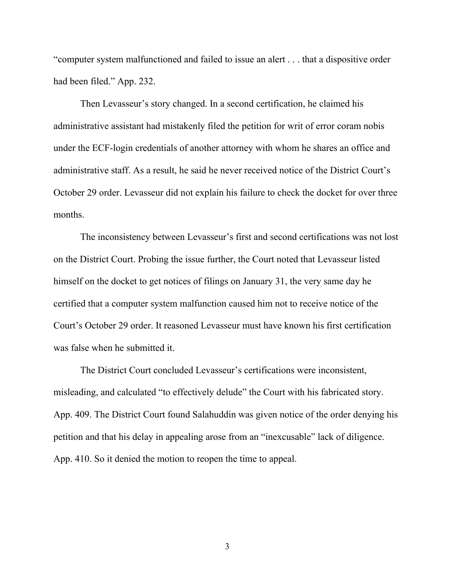"computer system malfunctioned and failed to issue an alert . . . that a dispositive order had been filed." App. 232.

Then Levasseur's story changed. In a second certification, he claimed his administrative assistant had mistakenly filed the petition for writ of error coram nobis under the ECF-login credentials of another attorney with whom he shares an office and administrative staff. As a result, he said he never received notice of the District Court's October 29 order. Levasseur did not explain his failure to check the docket for over three months.

The inconsistency between Levasseur's first and second certifications was not lost on the District Court. Probing the issue further, the Court noted that Levasseur listed himself on the docket to get notices of filings on January 31, the very same day he certified that a computer system malfunction caused him not to receive notice of the Court's October 29 order. It reasoned Levasseur must have known his first certification was false when he submitted it.

The District Court concluded Levasseur's certifications were inconsistent, misleading, and calculated "to effectively delude" the Court with his fabricated story. App. 409. The District Court found Salahuddin was given notice of the order denying his petition and that his delay in appealing arose from an "inexcusable" lack of diligence. App. 410. So it denied the motion to reopen the time to appeal.

3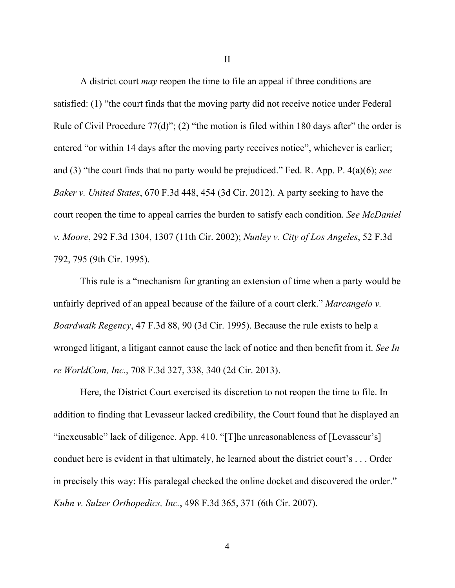A district court *may* reopen the time to file an appeal if three conditions are satisfied: (1) "the court finds that the moving party did not receive notice under Federal Rule of Civil Procedure 77(d)"; (2) "the motion is filed within 180 days after" the order is entered "or within 14 days after the moving party receives notice", whichever is earlier; and (3) "the court finds that no party would be prejudiced." Fed. R. App. P. 4(a)(6); *see Baker v. United States*, 670 F.3d 448, 454 (3d Cir. 2012). A party seeking to have the court reopen the time to appeal carries the burden to satisfy each condition. *See McDaniel v. Moore*, 292 F.3d 1304, 1307 (11th Cir. 2002); *Nunley v. City of Los Angeles*, 52 F.3d 792, 795 (9th Cir. 1995).

This rule is a "mechanism for granting an extension of time when a party would be unfairly deprived of an appeal because of the failure of a court clerk." *Marcangelo v. Boardwalk Regency*, 47 F.3d 88, 90 (3d Cir. 1995). Because the rule exists to help a wronged litigant, a litigant cannot cause the lack of notice and then benefit from it. *See In re WorldCom, Inc.*, 708 F.3d 327, 338, 340 (2d Cir. 2013).

Here, the District Court exercised its discretion to not reopen the time to file. In addition to finding that Levasseur lacked credibility, the Court found that he displayed an "inexcusable" lack of diligence. App. 410. "[T]he unreasonableness of [Levasseur's] conduct here is evident in that ultimately, he learned about the district court's . . . Order in precisely this way: His paralegal checked the online docket and discovered the order." *Kuhn v. Sulzer Orthopedics, Inc.*, 498 F.3d 365, 371 (6th Cir. 2007).

II